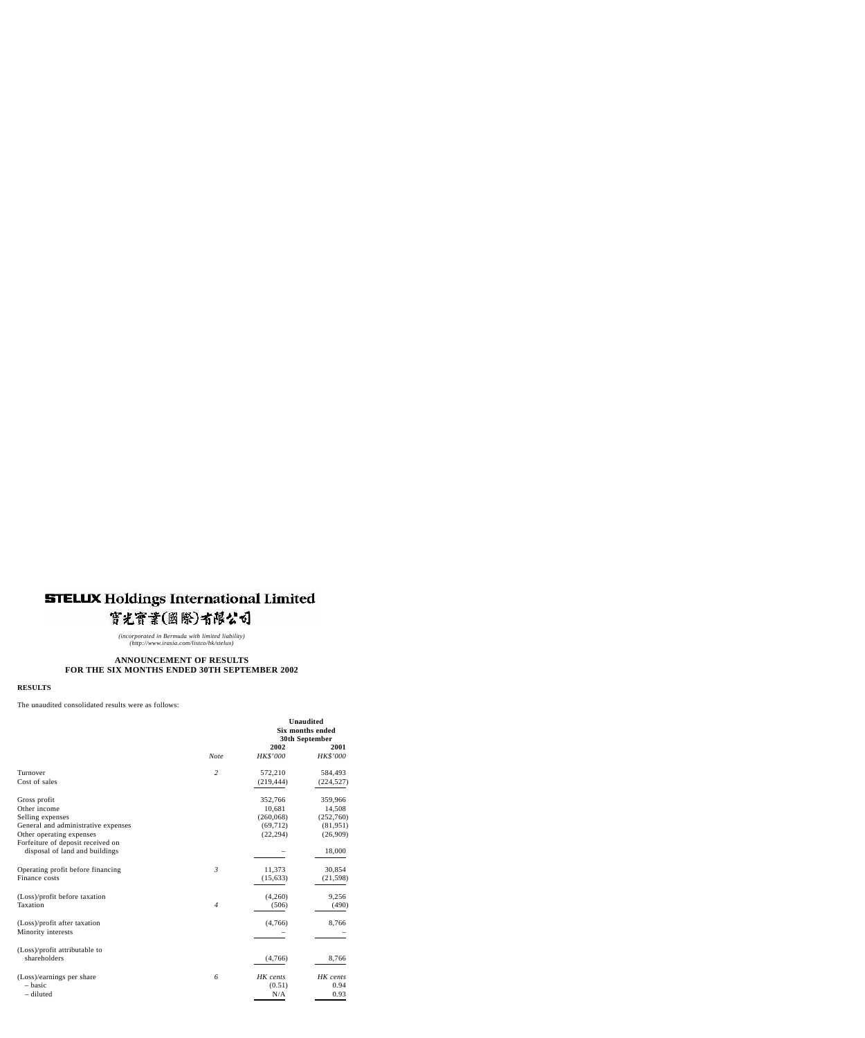# **STELLIX Holdings International Limited** 實光寶業(國際)有限公司

*(incorporated in Bermuda with limited liability) (http://www.irasia.com/listco/hk/stelux)*

## **ANNOUNCEMENT OF RESULTS FOR THE SIX MONTHS ENDED 30TH SEPTEMBER 2002**

#### **RESULTS**

The unaudited consolidated results were as follows:

|                                                                     |                | <b>Unaudited</b><br><b>Six months ended</b><br>30th September |            |
|---------------------------------------------------------------------|----------------|---------------------------------------------------------------|------------|
|                                                                     |                | 2002<br>HK\$'000                                              | 2001       |
|                                                                     | <b>Note</b>    |                                                               | HK\$'000   |
| Turnover                                                            | $\overline{2}$ | 572,210                                                       | 584,493    |
| Cost of sales                                                       |                | (219, 444)                                                    | (224, 527) |
| Gross profit                                                        |                | 352,766                                                       | 359,966    |
| Other income                                                        |                | 10,681                                                        | 14,508     |
| Selling expenses                                                    |                | (260, 068)                                                    | (252,760)  |
| General and administrative expenses                                 |                | (69, 712)                                                     | (81,951)   |
| Other operating expenses                                            |                | (22, 294)                                                     | (26,909)   |
| Forfeiture of deposit received on<br>disposal of land and buildings |                |                                                               | 18,000     |
| Operating profit before financing                                   | $\mathfrak{Z}$ | 11,373                                                        | 30,854     |
| Finance costs                                                       |                | (15, 633)                                                     | (21, 598)  |
| (Loss)/profit before taxation                                       |                | (4,260)                                                       | 9,256      |
| Taxation                                                            | $\overline{4}$ | (506)                                                         | (490)      |
| (Loss)/profit after taxation                                        |                | (4,766)                                                       | 8,766      |
| Minority interests                                                  |                |                                                               |            |
| (Loss)/profit attributable to                                       |                |                                                               |            |
| shareholders                                                        |                | (4,766)                                                       | 8,766      |
| (Loss)/earnings per share                                           | 6              | HK cents                                                      | HK cents   |
| - basic                                                             |                | (0.51)                                                        | 0.94       |
| - diluted                                                           |                | N/A                                                           | 0.93       |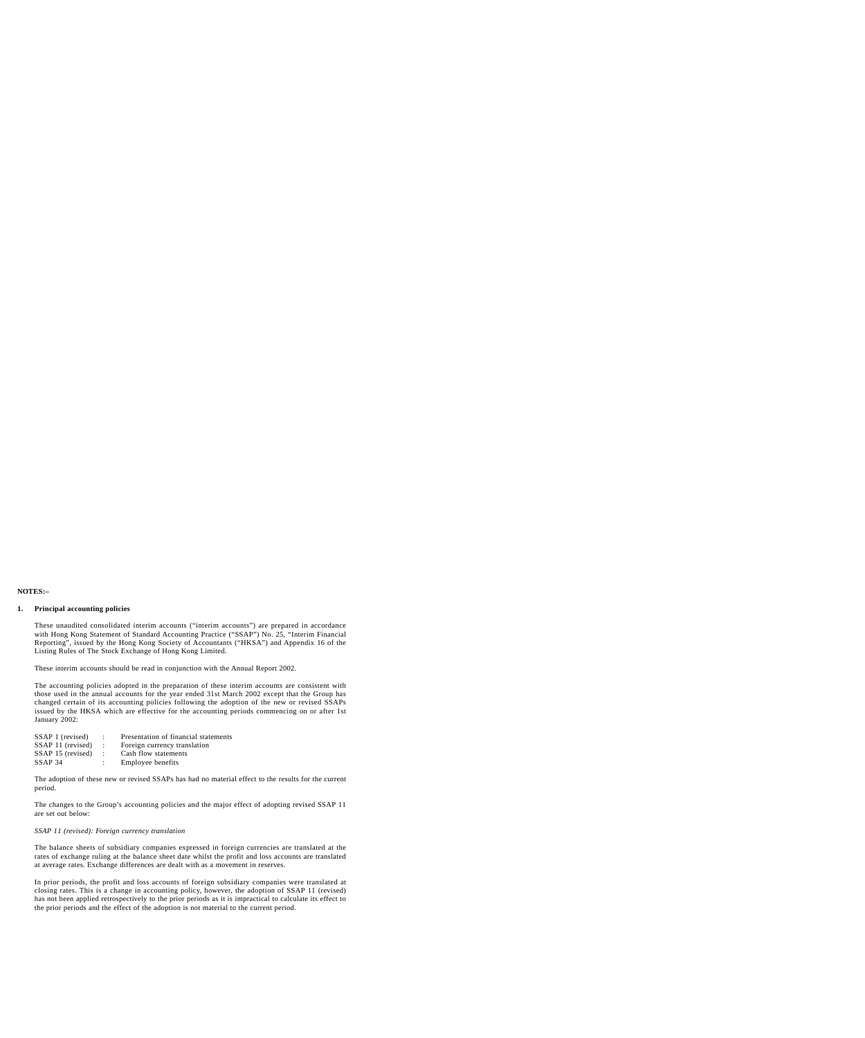## **NOTES:–**

## **1. Principal accounting policies**

These unaudited consolidated interim accounts ("interim accounts") are prepared in accordance with Hong Kong Statement of Standard Accounting Practice ("SSAP") No. 25, "Interim Financial Reporting", issued by the Hong Kong Society of Accountants ("HKSA") and Appendix 16 of the Listing Rules of The Stock Exchange of Hong Kong Limited.

These interim accounts should be read in conjunction with the Annual Report 2002.

The accounting policies adopted in the preparation of these interim accounts are consistent with those used in the annual accounts for the year ended 31st March 2002 except that the Group has changed certain of its accounting policies following the adoption of the new or revised SSAPs issued by the HKSA which are effective for the accounting periods commencing on or after 1st January 2002:

| SSAP 1 (revised)      | $\mathcal{L}$               | Presentation of financial statements |
|-----------------------|-----------------------------|--------------------------------------|
| SSAP 11 (revised)     | $\sim$ $\sim$ $\sim$ $\sim$ | Foreign currency translation         |
| $SSAP 15$ (revised) : |                             | Cash flow statements                 |
| SSAP <sub>34</sub>    |                             | Employee benefits                    |

The adoption of these new or revised SSAPs has had no material effect to the results for the current period.

The changes to the Group's accounting policies and the major effect of adopting revised SSAP 11 are set out below:

## *SSAP 11 (revised): Foreign currency translation*

The balance sheets of subsidiary companies expressed in foreign currencies are translated at the rates of exchange ruling at the balance sheet date whilst the profit and loss accounts are translated at average rates. Exchange differences are dealt with as a movement in reserves.

In prior periods, the profit and loss accounts of foreign subsidiary companies were translated at closing rates. This is a change in accounting policy, however, the adoption of SSAP 11 (revised) has not been applied retrospectively to the prior periods as it is impractical to calculate its effect to the prior periods and the effect of the adoption is not material to the current period.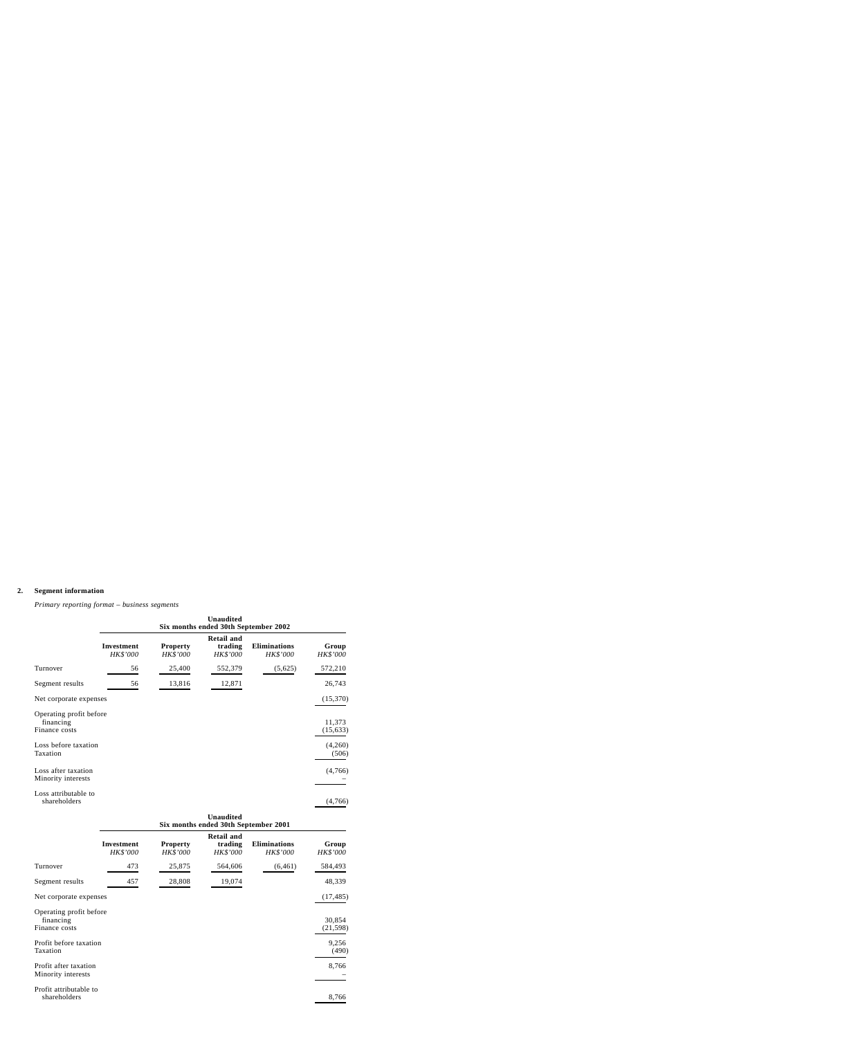## **2. Segment information**

|                                                                               | <b>Unaudited</b><br>Six months ended 30th September 2002 |                             |                                          |                                 |                                |
|-------------------------------------------------------------------------------|----------------------------------------------------------|-----------------------------|------------------------------------------|---------------------------------|--------------------------------|
|                                                                               | <b>Investment</b><br>HK\$'000                            | <b>Property</b><br>HK\$'000 | <b>Retail and</b><br>trading<br>HK\$'000 | <b>Eliminations</b><br>HK\$'000 | Group<br>HK\$'000              |
| Turnover                                                                      | 56                                                       | 25,400                      | 552,379                                  | (5,625)                         | 572,210                        |
| Segment results                                                               | 56                                                       | 13,816                      | 12,871                                   |                                 | 26,743                         |
| Net corporate expenses                                                        |                                                          |                             |                                          |                                 | (15,370)                       |
| Operating profit before<br>financing<br>Finance costs<br>Loss before taxation |                                                          |                             |                                          |                                 | 11,373<br>(15, 633)<br>(4,260) |
| Taxation                                                                      |                                                          |                             |                                          |                                 | (506)                          |
| Loss after taxation<br>Minority interests                                     |                                                          |                             |                                          |                                 | (4,766)                        |
| Loss attributable to<br>shareholders                                          |                                                          |                             |                                          |                                 | (4,766)                        |

## *Primary reporting format – business segments*

| Unaudited |  |  |  |                                      |  |
|-----------|--|--|--|--------------------------------------|--|
|           |  |  |  | Six months ended 30th September 2001 |  |

|                                                                                             | <b>Investment</b><br>HK\$'000 | <b>Property</b><br>HK\$'000 | <b>Retail and</b><br>trading<br>HK\$'000 | <b>Eliminations</b><br>HK\$'000 | Group<br>HK\$'000                     |
|---------------------------------------------------------------------------------------------|-------------------------------|-----------------------------|------------------------------------------|---------------------------------|---------------------------------------|
| Turnover                                                                                    | 473                           | 25,875                      | 564,606                                  | (6, 461)                        | 584,493                               |
| Segment results                                                                             | 457                           | 28,808                      | 19,074                                   |                                 | 48,339                                |
| Net corporate expenses                                                                      |                               |                             |                                          |                                 | (17, 485)                             |
| Operating profit before<br>financing<br>Finance costs<br>Profit before taxation<br>Taxation |                               |                             |                                          |                                 | 30,854<br>(21, 598)<br>9,256<br>(490) |
| Profit after taxation<br>Minority interests                                                 |                               |                             |                                          |                                 | 8,766                                 |
| Profit attributable to<br>shareholders                                                      |                               |                             |                                          |                                 | 8,766                                 |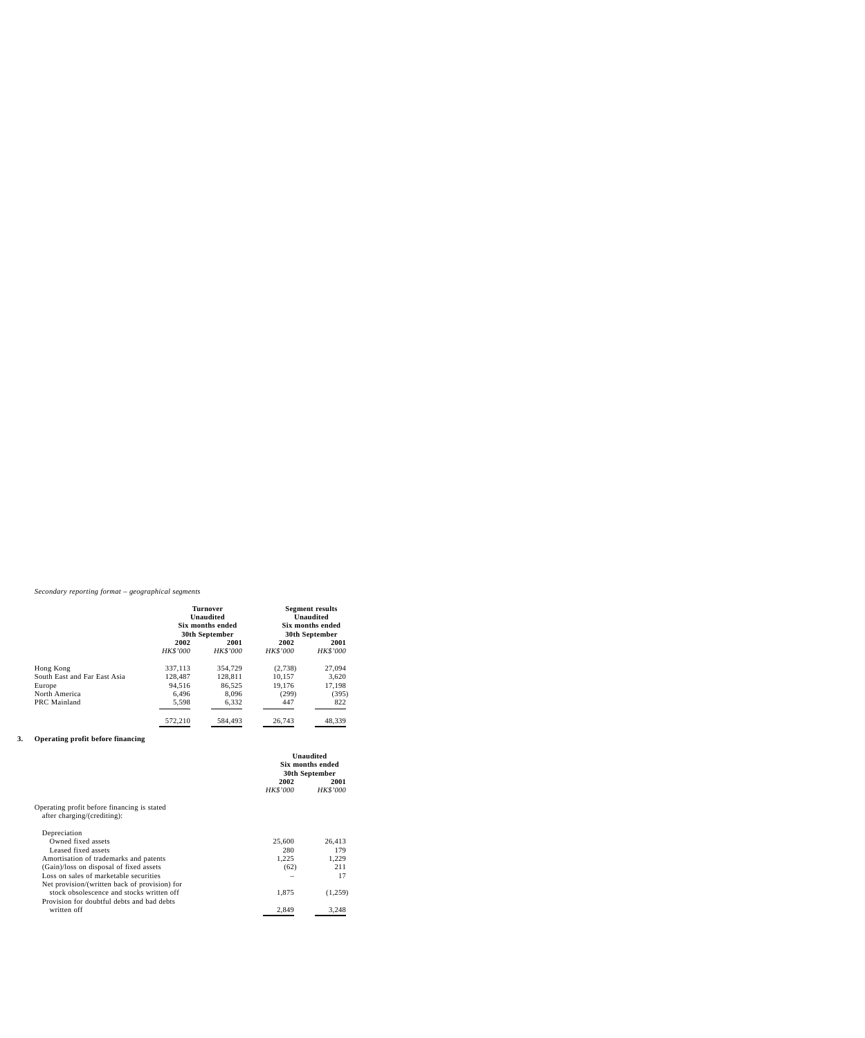## *Secondary reporting format – geographical segments*

|                              | <b>Turnover</b><br><b>Unaudited</b><br>Six months ended<br>30th September |          | <b>Segment results</b><br><b>Unaudited</b><br>Six months ended<br><b>30th September</b> |          |
|------------------------------|---------------------------------------------------------------------------|----------|-----------------------------------------------------------------------------------------|----------|
|                              |                                                                           |          |                                                                                         |          |
|                              | 2002<br>2001                                                              |          | 2002                                                                                    | 2001     |
|                              | HK\$'000                                                                  | HK\$'000 | <b>HK\$'000</b>                                                                         | HK\$'000 |
| Hong Kong                    | 337,113                                                                   | 354,729  | (2,738)                                                                                 | 27,094   |
| South East and Far East Asia | 128,487                                                                   | 128,811  | 10,157                                                                                  | 3,620    |
| Europe                       | 94,516                                                                    | 86,525   | 19,176                                                                                  | 17,198   |
| North America                | 6,496                                                                     | 8,096    | (299)                                                                                   | (395)    |
| <b>PRC</b> Mainland          | 5,598                                                                     | 6,332    | 447                                                                                     | 822      |
|                              | 572,210                                                                   | 584,493  | 26,743                                                                                  | 48,339   |

## **3. Operating profit before financing**

|                                                                            | <b>Unaudited</b><br><b>Six months ended</b><br>30th September |                 |
|----------------------------------------------------------------------------|---------------------------------------------------------------|-----------------|
|                                                                            | 2002                                                          | 2001            |
|                                                                            | <i>HK\$'000</i>                                               | <b>HK\$'000</b> |
| Operating profit before financing is stated<br>after charging/(crediting): |                                                               |                 |
| Depreciation                                                               |                                                               |                 |
| Owned fixed assets                                                         | 25,600                                                        | 26,413          |
| Leased fixed assets                                                        | 280                                                           | 179             |
| Amortisation of trademarks and patents                                     | 1,225                                                         | 1,229           |
| (Gain)/loss on disposal of fixed assets                                    | (62)                                                          | 211             |
| Loss on sales of marketable securities                                     |                                                               | 17              |
| Net provision/(written back of provision) for                              |                                                               |                 |
| stock obsolescence and stocks written off                                  | 1,875                                                         | (1,259)         |
| Provision for doubtful debts and bad debts                                 |                                                               |                 |
| written off                                                                | 2,849                                                         | 3,248           |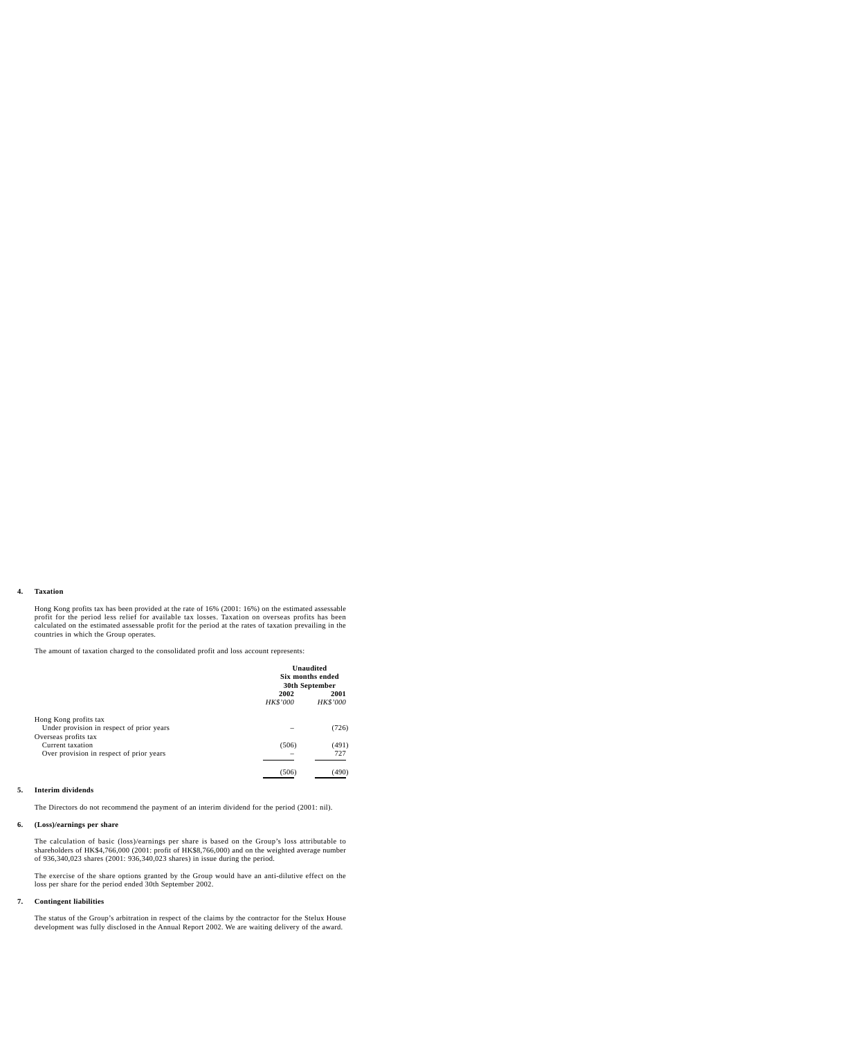## **4. Taxation**

Hong Kong profits tax has been provided at the rate of 16% (2001: 16%) on the estimated assessable profit for the period less relief for available tax losses. Taxation on overseas profits has been calculated on the estimated assessable profit for the period at the rates of taxation prevailing in the countries in which the Group operates.

The amount of taxation charged to the consolidated profit and loss account represents:

|                                           | <b>Unaudited</b><br>Six months ended<br>30th September |                  |
|-------------------------------------------|--------------------------------------------------------|------------------|
|                                           | 2002<br>HK\$'000                                       | 2001<br>HK\$'000 |
| Hong Kong profits tax                     |                                                        |                  |
| Under provision in respect of prior years |                                                        | (726)            |
| Overseas profits tax                      |                                                        |                  |
| Current taxation                          | (506)                                                  | (491)            |
| Over provision in respect of prior years  |                                                        | 727              |
|                                           | (506)                                                  | (490)            |

#### **5. Interim dividends**

The Directors do not recommend the payment of an interim dividend for the period (2001: nil).

#### **6. (Loss)/earnings per share**

The calculation of basic (loss)/earnings per share is based on the Group's loss attributable to shareholders of HK\$4,766,000 (2001: profit of HK\$8,766,000) and on the weighted average number of 936,340,023 shares (2001: 936,340,023 shares) in issue during the period.

The exercise of the share options granted by the Group would have an anti-dilutive effect on the loss per share for the period ended 30th September 2002.

#### **7. Contingent liabilities**

The status of the Group's arbitration in respect of the claims by the contractor for the Stelux House development was fully disclosed in the Annual Report 2002. We are waiting delivery of the award.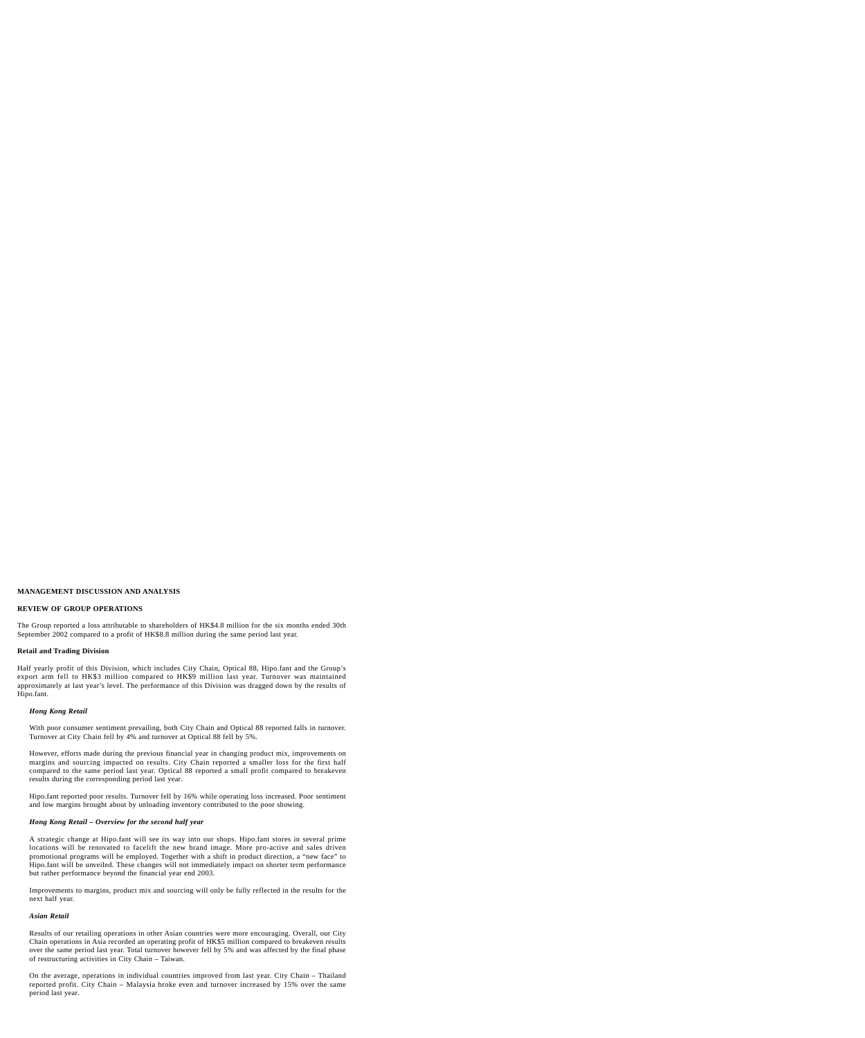### **MANAGEMENT DISCUSSION AND ANALYSIS**

## **REVIEW OF GROUP OPERATIONS**

The Group reported a loss attributable to shareholders of HK\$4.8 million for the six months ended 30th September 2002 compared to a profit of HK\$8.8 million during the same period last year.

## **Retail and Trading Division**

Half yearly profit of this Division, which includes City Chain, Optical 88, Hipo.fant and the Group's export arm fell to HK\$3 million compared to HK\$9 million last year. Turnover was maintained approximately at last year's level. The performance of this Division was dragged down by the results of Hipo.fant.

## *Hong Kong Retail*

With poor consumer sentiment prevailing, both City Chain and Optical 88 reported falls in turnover. Turnover at City Chain fell by 4% and turnover at Optical 88 fell by 5%.

However, efforts made during the previous financial year in changing product mix, improvements on margins and sourcing impacted on results. City Chain reported a smaller loss for the first half compared to the same period last year. Optical 88 reported a small profit compared to breakeven results during the corresponding period last year.

Hipo.fant reported poor results. Turnover fell by 16% while operating loss increased. Poor sentiment and low margins brought about by unloading inventory contributed to the poor showing.

## *Hong Kong Retail – Overview for the second half year*

A strategic change at Hipo.fant will see its way into our shops. Hipo.fant stores in several prime locations will be renovated to facelift the new brand image. More pro-active and sales driven promotional programs will be employed. Together with a shift in product direction, a "new face" to Hipo.fant will be unveiled. These changes will not immediately impact on shorter term performance but rather performance beyond the financial year end 2003.

Improvements to margins, product mix and sourcing will only be fully reflected in the results for the next half year.

## *Asian Retail*

Results of our retailing operations in other Asian countries were more encouraging. Overall, our City Chain operations in Asia recorded an operating profit of HK\$5 million compared to breakeven results over the same period last year. Total turnover however fell by 5% and was affected by the final phase of restructuring activities in City Chain – Taiwan.

On the average, operations in individual countries improved from last year. City Chain – Thailand reported profit. City Chain – Malaysia broke even and turnover increased by 15% over the same period last year.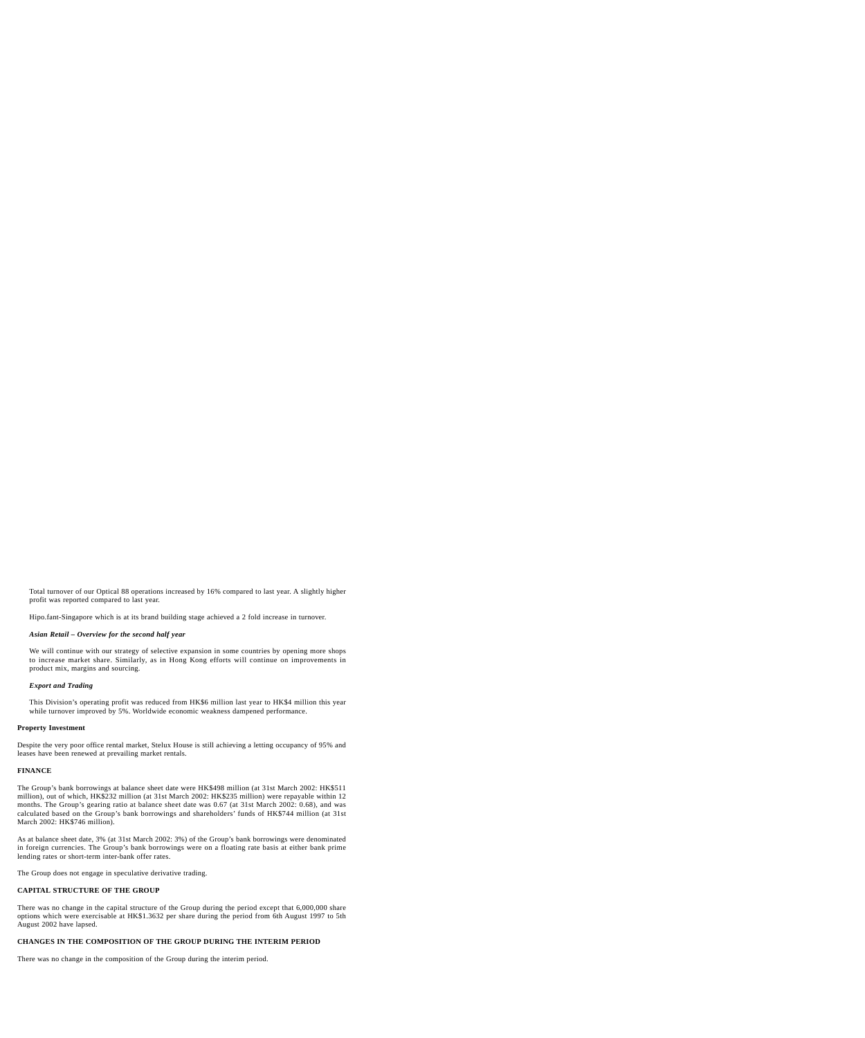Total turnover of our Optical 88 operations increased by 16% compared to last year. A slightly higher profit was reported compared to last year.

Hipo.fant-Singapore which is at its brand building stage achieved a 2 fold increase in turnover.

## *Asian Retail – Overview for the second half year*

We will continue with our strategy of selective expansion in some countries by opening more shops to increase market share. Similarly, as in Hong Kong efforts will continue on improvements in product mix, margins and sourcing.

## *Export and Trading*

This Division's operating profit was reduced from HK\$6 million last year to HK\$4 million this year while turnover improved by 5%. Worldwide economic weakness dampened performance.

#### **Property Investment**

Despite the very poor office rental market, Stelux House is still achieving a letting occupancy of 95% and leases have been renewed at prevailing market rentals.

## **FINANCE**

The Group's bank borrowings at balance sheet date were HK\$498 million (at 31st March 2002: HK\$511 million), out of which, HK\$232 million (at 31st March 2002: HK\$235 million) were repayable within 12 months. The Group's gearing ratio at balance sheet date was 0.67 (at 31st March 2002: 0.68), and was calculated based on the Group's bank borrowings and shareholders' funds of HK\$744 million (at 31st March 2002: HK\$746 million).

As at balance sheet date, 3% (at 31st March 2002: 3%) of the Group's bank borrowings were denominated in foreign currencies. The Group's bank borrowings were on a floating rate basis at either bank prime lending rates or short-term inter-bank offer rates.

The Group does not engage in speculative derivative trading.

## **CAPITAL STRUCTURE OF THE GROUP**

There was no change in the capital structure of the Group during the period except that 6,000,000 share options which were exercisable at HK\$1.3632 per share during the period from 6th August 1997 to 5th August 2002 have lapsed.

## **CHANGES IN THE COMPOSITION OF THE GROUP DURING THE INTERIM PERIOD**

There was no change in the composition of the Group during the interim period.